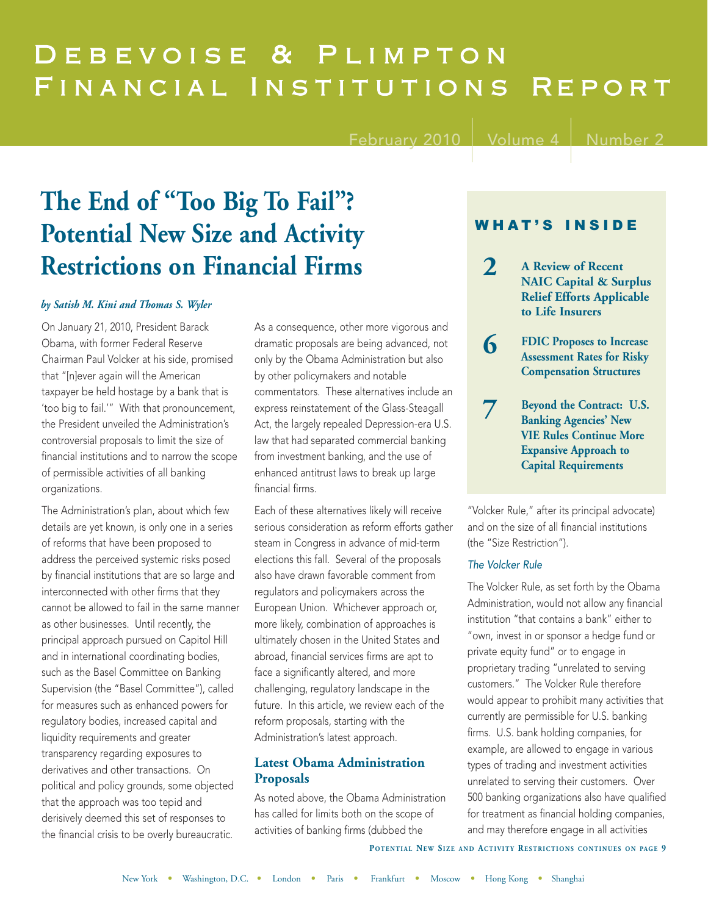# Debevoise & Plimpton FINANCIAL INSTITUTIONS REPORT

February 2010  $\vert$  Volume 4  $\vert$  Number

# **The End of "Too Big To Fail"? Potential New Size and Activity Restrictions on Financial Firms**

### *by Satish M. Kini and Thomas S. Wyler*

On January 21, 2010, President Barack Obama, with former Federal Reserve Chairman Paul Volcker at his side, promised that "[n]ever again will the American taxpayer be held hostage by a bank that is 'too big to fail.'" With that pronouncement, the President unveiled the Administration's controversial proposals to limit the size of financial institutions and to narrow the scope of permissible activities of all banking organizations.

The Administration's plan, about which few details are yet known, is only one in a series of reforms that have been proposed to address the perceived systemic risks posed by financial institutions that are so large and interconnected with other firms that they cannot be allowed to fail in the same manner as other businesses. Until recently, the principal approach pursued on Capitol Hill and in international coordinating bodies, such as the Basel Committee on Banking Supervision (the "Basel Committee"), called for measures such as enhanced powers for regulatory bodies, increased capital and liquidity requirements and greater transparency regarding exposures to derivatives and other transactions. On political and policy grounds, some objected that the approach was too tepid and derisively deemed this set of responses to the financial crisis to be overly bureaucratic.

As a consequence, other more vigorous and dramatic proposals are being advanced, not only by the Obama Administration but also by other policymakers and notable commentators. These alternatives include an express reinstatement of the Glass-Steagall Act, the largely repealed Depression-era U.S. law that had separated commercial banking from investment banking, and the use of enhanced antitrust laws to break up large financial firms.

Each of these alternatives likely will receive serious consideration as reform efforts gather steam in Congress in advance of mid-term elections this fall. Several of the proposals also have drawn favorable comment from regulators and policymakers across the European Union. Whichever approach or, more likely, combination of approaches is ultimately chosen in the United States and abroad, financial services firms are apt to face a significantly altered, and more challenging, regulatory landscape in the future. In this article, we review each of the reform proposals, starting with the Administration's latest approach.

# **Latest Obama Administration Proposals**

As noted above, the Obama Administration has called for limits both on the scope of activities of banking firms (dubbed the

## WHAT'S INSIDE

- **2 A Review of Recent NAIC Capital & Surplus Relief Efforts Applicable to Life Insurers**
- **6 FDIC Proposes to Increase Assessment Rates for Risky Compensation Structures**
- **7 Beyond the Contract: U.S. Banking Agencies' New VIE Rules Continue More Expansive Approach to Capital Requirements**

"Volcker Rule," after its principal advocate) and on the size of all financial institutions (the "Size Restriction").

### The Volcker Rule

The Volcker Rule, as set forth by the Obama Administration, would not allow any financial institution "that contains a bank" either to "own, invest in or sponsor a hedge fund or private equity fund" or to engage in proprietary trading "unrelated to serving customers." The Volcker Rule therefore would appear to prohibit many activities that currently are permissible for U.S. banking firms. U.S. bank holding companies, for example, are allowed to engage in various types of trading and investment activities unrelated to serving their customers. Over 500 banking organizations also have qualified for treatment as financial holding companies, and may therefore engage in all activities

**POTENTIAL NEW SIZE AND ACTIVITY RESTRICTIONS CONTINUES ON PAGE 9**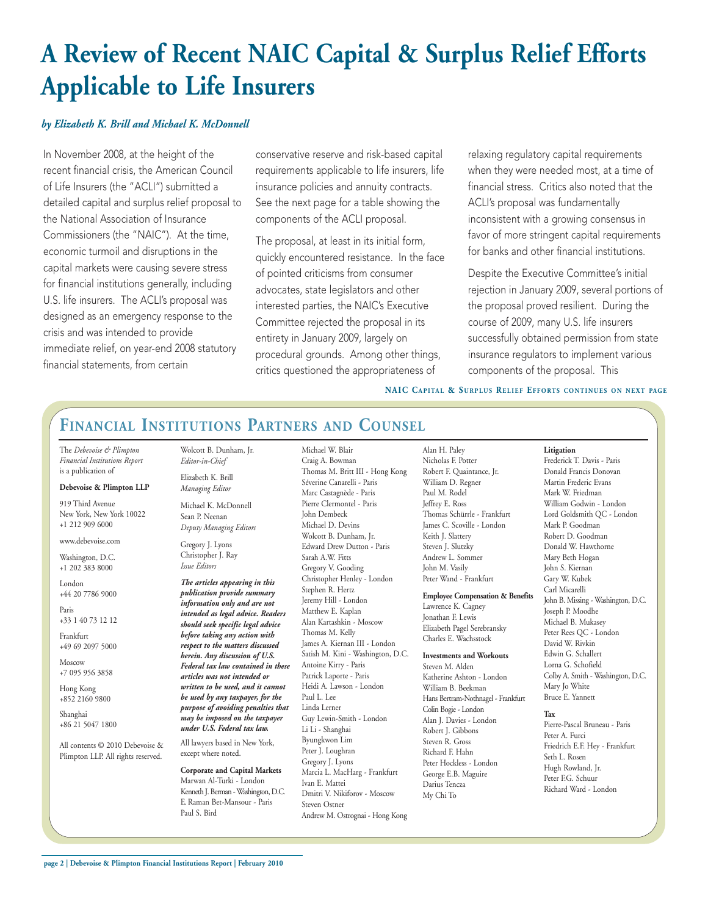# **A Review of Recent NAIC Capital & Surplus Relief Efforts Applicable to Life Insurers**

### *by Elizabeth K. Brill and Michael K. McDonnell*

In November 2008, at the height of the recent financial crisis, the American Council of Life Insurers (the "ACLI") submitted a detailed capital and surplus relief proposal to the National Association of Insurance Commissioners (the "NAIC"). At the time, economic turmoil and disruptions in the capital markets were causing severe stress for financial institutions generally, including U.S. life insurers. The ACLI's proposal was designed as an emergency response to the crisis and was intended to provide immediate relief, on year-end 2008 statutory financial statements, from certain

conservative reserve and risk-based capital requirements applicable to life insurers, life insurance policies and annuity contracts. See the next page for a table showing the components of the ACLI proposal.

The proposal, at least in its initial form, quickly encountered resistance. In the face of pointed criticisms from consumer advocates, state legislators and other interested parties, the NAIC's Executive Committee rejected the proposal in its entirety in January 2009, largely on procedural grounds. Among other things, critics questioned the appropriateness of

> Michael W. Blair Craig A. Bowman

relaxing regulatory capital requirements when they were needed most, at a time of financial stress. Critics also noted that the ACLI's proposal was fundamentally inconsistent with a growing consensus in favor of more stringent capital requirements for banks and other financial institutions.

Despite the Executive Committee's initial rejection in January 2009, several portions of the proposal proved resilient. During the course of 2009, many U.S. life insurers successfully obtained permission from state insurance regulators to implement various components of the proposal. This

**Litigation**

**NAIC CAPITAL & SURPLUS RELIEF EFFORTS CONTINUES ON NEXT PAGE**

# **FINANCIAL INSTITUTIONS PARTNERS AND COUNSEL**

The *Debevoise & Plimpton Financial Institutions Report* is a publication of

#### **Debevoise & Plimpton LLP**

919 Third Avenue New York, New York 10022 +1 212 909 6000

#### www.debevoise.com

Washington, D.C. +1 202 383 8000

London +44 20 7786 9000

Paris +33 1 40 73 12 12

Frankfurt +49 69 2097 5000

Moscow +7 095 956 3858

Hong Kong +852 2160 9800

Shanghai +86 21 5047 1800

All contents © 2010 Debevoise & Plimpton LLP. All rights reserved.

Wolcott B. Dunham, Jr. *Editor-in-Chief* Elizabeth K. Brill

> *Managing Editor* Michael K. McDonnell Sean P. Neenan *Deputy Managing Editors*

Gregory J. Lyons Christopher J. Ray *Issue Editors*

*The articles appearing in this publication provide summary information only and are not intended as legal advice. Readers should seek specific legal advice before taking any action with respect to the matters discussed herein. Any discussion of U.S. Federal tax law contained in these articles was not intended or written to be used, and it cannot be used by any taxpayer, for the purpose of avoiding penalties that may be imposed on the taxpayer under U.S. Federal tax law.* 

All lawyers based in New York, except where noted.

#### **Corporate and Capital Markets** Marwan Al-Turki - London Kenneth J. Berman - Washington, D.C. E. Raman Bet-Mansour - Paris Paul S. Bird

Thomas M. Britt III - Hong Kong Séverine Canarelli - Paris Marc Castagnède - Paris Pierre Clermontel - Paris John Dembeck Michael D. Devins Wolcott B. Dunham, Jr. Edward Drew Dutton - Paris Sarah A.W. Fitts Gregory V. Gooding Christopher Henley - London Stephen R. Hertz Jeremy Hill - London Matthew E. Kaplan Alan Kartashkin - Moscow Thomas M. Kelly James A. Kiernan III - London Satish M. Kini - Washington, D.C. Antoine Kirry - Paris Patrick Laporte - Paris Heidi A. Lawson - London Paul L. Lee Linda Lerner Guy Lewin-Smith - London Li Li - Shanghai Byungkwon Lim Peter J. Loughran Gregory J. Lyons Marcia L. MacHarg - Frankfurt Ivan E. Mattei Dmitri V. Nikiforov - Moscow Steven Ostner Andrew M. Ostrognai - Hong Kong

Alan H. Paley Nicholas F. Potter Robert F. Quaintance, Jr. William D. Regner Paul M. Rodel Jeffrey E. Ross Thomas Schürrle - Frankfurt James C. Scoville - London Keith J. Slattery Steven J. Slutzky Andrew L. Sommer John M. Vasily Peter Wand - Frankfurt

**Employee Compensation & Benefits**

Lawrence K. Cagney Jonathan F. Lewis Elizabeth Pagel Serebransky Charles E. Wachsstock

#### **Investments and Workouts**

Steven M. Alden Katherine Ashton - London William B. Beekman Hans Bertram-Nothnagel - Frankfurt Colin Bogie - London Alan J. Davies - London Robert J. Gibbons Steven R. Gross Richard F. Hahn Peter Hockless - London George E.B. Maguire Darius Tencza My Chi To

Frederick T. Davis - Paris Donald Francis Donovan Martin Frederic Evans Mark W. Friedman William Godwin - London Lord Goldsmith QC - London Mark P. Goodman Robert D. Goodman Donald W. Hawthorne Mary Beth Hogan John S. Kiernan Gary W. Kubek Carl Micarelli John B. Missing - Washington, D.C. Joseph P. Moodhe Michael B. Mukasey Peter Rees QC - London David W. Rivkin Edwin G. Schallert Lorna G. Schofield Colby A. Smith - Washington, D.C. Mary Jo White Bruce E. Yannett

#### **Tax**

Pierre-Pascal Bruneau - Paris Peter A. Furci Friedrich E.F. Hey - Frankfurt Seth L. Rosen Hugh Rowland, Jr. Peter F.G. Schuur Richard Ward - London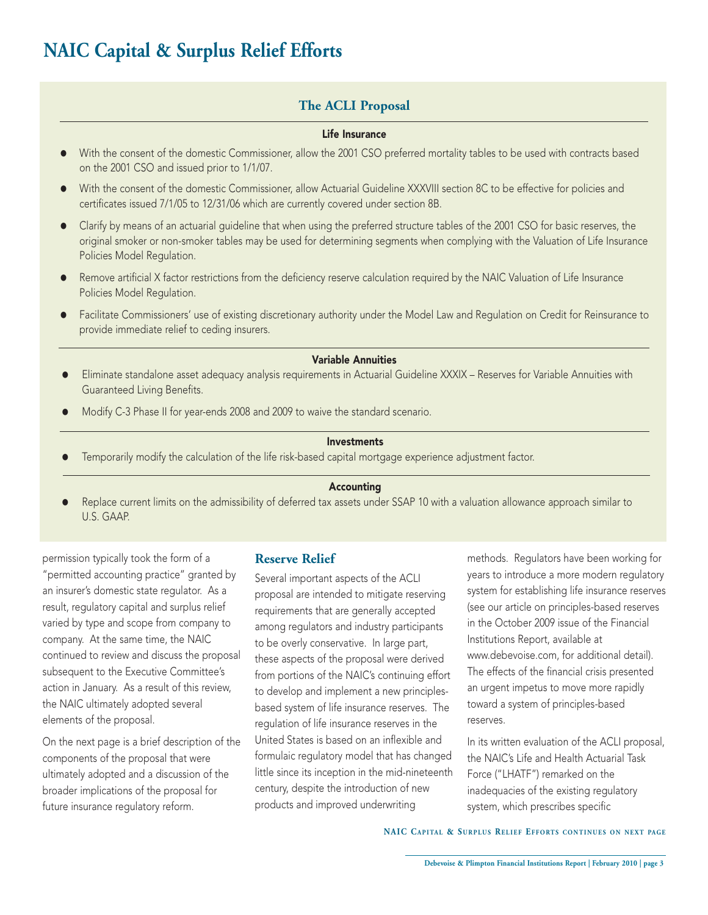# **NAIC Capital & Surplus Relief Efforts**

# **The ACLI Proposal**

### Life Insurance

- With the consent of the domestic Commissioner, allow the 2001 CSO preferred mortality tables to be used with contracts based on the 2001 CSO and issued prior to 1/1/07.
- = With the consent of the domestic Commissioner, allow Actuarial Guideline XXXVIII section 8C to be effective for policies and certificates issued 7/1/05 to 12/31/06 which are currently covered under section 8B.
- Clarify by means of an actuarial quideline that when using the preferred structure tables of the 2001 CSO for basic reserves, the original smoker or non-smoker tables may be used for determining segments when complying with the Valuation of Life Insurance Policies Model Regulation.
- Remove artificial X factor restrictions from the deficiency reserve calculation required by the NAIC Valuation of Life Insurance Policies Model Regulation.
- Facilitate Commissioners' use of existing discretionary authority under the Model Law and Regulation on Credit for Reinsurance to provide immediate relief to ceding insurers.

#### Variable Annuities

- Eliminate standalone asset adequacy analysis requirements in Actuarial Guideline XXXIX Reserves for Variable Annuities with Guaranteed Living Benefits.
- Modify C-3 Phase II for year-ends 2008 and 2009 to waive the standard scenario.

### Investments

Temporarily modify the calculation of the life risk-based capital mortgage experience adjustment factor.

### Accounting

Replace current limits on the admissibility of deferred tax assets under SSAP 10 with a valuation allowance approach similar to U.S. GAAP.

permission typically took the form of a "permitted accounting practice" granted by an insurer's domestic state regulator. As a result, regulatory capital and surplus relief varied by type and scope from company to company. At the same time, the NAIC continued to review and discuss the proposal subsequent to the Executive Committee's action in January. As a result of this review, the NAIC ultimately adopted several elements of the proposal.

On the next page is a brief description of the components of the proposal that were ultimately adopted and a discussion of the broader implications of the proposal for future insurance regulatory reform.

### **Reserve Relief**

Several important aspects of the ACLI proposal are intended to mitigate reserving requirements that are generally accepted among regulators and industry participants to be overly conservative. In large part, these aspects of the proposal were derived from portions of the NAIC's continuing effort to develop and implement a new principlesbased system of life insurance reserves. The regulation of life insurance reserves in the United States is based on an inflexible and formulaic regulatory model that has changed little since its inception in the mid-nineteenth century, despite the introduction of new products and improved underwriting

methods. Regulators have been working for years to introduce a more modern regulatory system for establishing life insurance reserves (see our article on principles-based reserves in the October 2009 issue of the Financial Institutions Report, available at [www.debevoise.com,](http://www.debevoise.com/files/Publication/0c6805e9-e2f6-4a6c-b984-34f1d5fa9422/Presentation/PublicationAttachment/904ed8bb-4c5a-490a-852e-7c615db317af/FIReportOctober2009.pdf) for additional detail). The effects of the financial crisis presented an urgent impetus to move more rapidly toward a system of principles-based reserves.

In its written evaluation of the ACLI proposal, the NAIC's Life and Health Actuarial Task Force ("LHATF") remarked on the inadequacies of the existing regulatory system, which prescribes specific

**NAIC CAPITAL & SURPLUS RELIEF EFFORTS CONTINUES ON NEXT PAGE**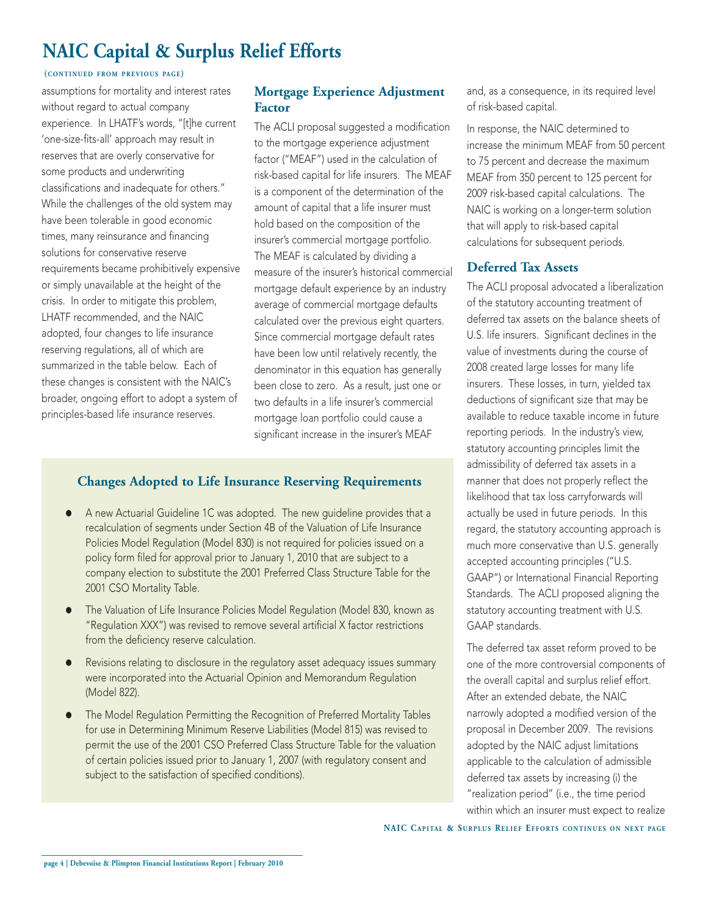# **NAIC Capital & Surplus Relief Efforts**

### **(CONTINUED FROM PREVIOUS PAGE)**

assumptions for mortality and interest rates without regard to actual company experience. In LHATF's words, "[t]he current 'one-size-fits-all' approach may result in reserves that are overly conservative for some products and underwriting classifications and inadequate for others." While the challenges of the old system may have been tolerable in good economic times, many reinsurance and financing solutions for conservative reserve requirements became prohibitively expensive or simply unavailable at the height of the crisis. In order to mitigate this problem, LHATF recommended, and the NAIC adopted, four changes to life insurance reserving regulations, all of which are summarized in the table below. Each of these changes is consistent with the NAIC's broader, ongoing effort to adopt a system of principles-based life insurance reserves.

### **Mortgage Experience Adjustment Factor**

The ACLI proposal suggested a modification to the mortgage experience adjustment factor ("MEAF") used in the calculation of risk-based capital for life insurers. The MEAF is a component of the determination of the amount of capital that a life insurer must hold based on the composition of the insurer's commercial mortgage portfolio. The MEAF is calculated by dividing a measure of the insurer's historical commercial mortgage default experience by an industry average of commercial mortgage defaults calculated over the previous eight quarters. Since commercial mortgage default rates have been low until relatively recently, the denominator in this equation has generally been close to zero. As a result, just one or two defaults in a life insurer's commercial mortgage loan portfolio could cause a significant increase in the insurer's MEAF

# **Changes Adopted to Life Insurance Reserving Requirements**

- A new Actuarial Guideline 1C was adopted. The new quideline provides that a recalculation of segments under Section 4B of the Valuation of Life Insurance Policies Model Regulation (Model 830) is not required for policies issued on a policy form filed for approval prior to January 1, 2010 that are subject to a company election to substitute the 2001 Preferred Class Structure Table for the 2001 CSO Mortality Table.
- The Valuation of Life Insurance Policies Model Regulation (Model 830, known as "Regulation XXX") was revised to remove several artificial X factor restrictions from the deficiency reserve calculation.
- Revisions relating to disclosure in the regulatory asset adequacy issues summary were incorporated into the Actuarial Opinion and Memorandum Regulation (Model 822).
- The Model Regulation Permitting the Recognition of Preferred Mortality Tables for use in Determining Minimum Reserve Liabilities (Model 815) was revised to permit the use of the 2001 CSO Preferred Class Structure Table for the valuation of certain policies issued prior to January 1, 2007 (with regulatory consent and subject to the satisfaction of specified conditions).

and, as a consequence, in its required level of risk-based capital.

In response, the NAIC determined to increase the minimum MEAF from 50 percent to 75 percent and decrease the maximum MEAF from 350 percent to 125 percent for 2009 risk-based capital calculations. The NAIC is working on a longer-term solution that will apply to risk-based capital calculations for subsequent periods.

### **Deferred Tax Assets**

The ACLI proposal advocated a liberalization of the statutory accounting treatment of deferred tax assets on the balance sheets of U.S. life insurers. Significant declines in the value of investments during the course of 2008 created large losses for many life insurers. These losses, in turn, yielded tax deductions of significant size that may be available to reduce taxable income in future reporting periods. In the industry's view, statutory accounting principles limit the admissibility of deferred tax assets in a manner that does not properly reflect the likelihood that tax loss carryforwards will actually be used in future periods. In this regard, the statutory accounting approach is much more conservative than U.S. generally accepted accounting principles ("U.S. GAAP") or International Financial Reporting Standards. The ACLI proposed aligning the statutory accounting treatment with U.S. GAAP standards.

The deferred tax asset reform proved to be one of the more controversial components of the overall capital and surplus relief effort. After an extended debate, the NAIC narrowly adopted a modified version of the proposal in December 2009. The revisions adopted by the NAIC adjust limitations applicable to the calculation of admissible deferred tax assets by increasing (i) the "realization period" (i.e., the time period within which an insurer must expect to realize

**NAIC CAPITAL & SURPLUS RELIEF EFFORTS CONTINUES ON NEXT PAGE**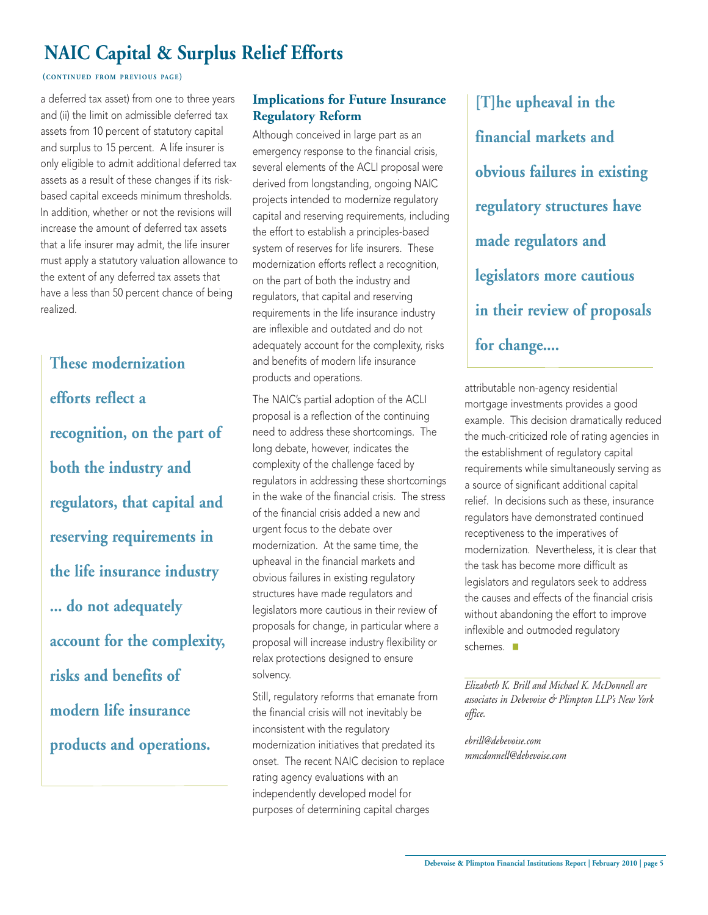# **NAIC Capital & Surplus Relief Efforts**

### **(CONTINUED FROM PREVIOUS PAGE)**

a deferred tax asset) from one to three years and (ii) the limit on admissible deferred tax assets from 10 percent of statutory capital and surplus to 15 percent. A life insurer is only eligible to admit additional deferred tax assets as a result of these changes if its riskbased capital exceeds minimum thresholds. In addition, whether or not the revisions will increase the amount of deferred tax assets that a life insurer may admit, the life insurer must apply a statutory valuation allowance to the extent of any deferred tax assets that have a less than 50 percent chance of being realized.

**These modernization efforts reflect a recognition, on the part of both the industry and regulators, that capital and reserving requirements in the life insurance industry ... do not adequately account for the complexity, risks and benefits of modern life insurance products and operations.**

# **Implications for Future Insurance Regulatory Reform**

Although conceived in large part as an emergency response to the financial crisis, several elements of the ACLI proposal were derived from longstanding, ongoing NAIC projects intended to modernize regulatory capital and reserving requirements, including the effort to establish a principles-based system of reserves for life insurers. These modernization efforts reflect a recognition, on the part of both the industry and regulators, that capital and reserving requirements in the life insurance industry are inflexible and outdated and do not adequately account for the complexity, risks and benefits of modern life insurance products and operations.

The NAIC's partial adoption of the ACLI proposal is a reflection of the continuing need to address these shortcomings. The long debate, however, indicates the complexity of the challenge faced by regulators in addressing these shortcomings in the wake of the financial crisis. The stress of the financial crisis added a new and urgent focus to the debate over modernization. At the same time, the upheaval in the financial markets and obvious failures in existing regulatory structures have made regulators and legislators more cautious in their review of proposals for change, in particular where a proposal will increase industry flexibility or relax protections designed to ensure solvency.

Still, regulatory reforms that emanate from the financial crisis will not inevitably be inconsistent with the regulatory modernization initiatives that predated its onset. The recent NAIC decision to replace rating agency evaluations with an independently developed model for purposes of determining capital charges

**[T]he upheaval in the financial markets and obvious failures in existing regulatory structures have made regulators and legislators more cautious in their review of proposals for change....**

attributable non-agency residential mortgage investments provides a good example. This decision dramatically reduced the much-criticized role of rating agencies in the establishment of regulatory capital requirements while simultaneously serving as a source of significant additional capital relief. In decisions such as these, insurance regulators have demonstrated continued receptiveness to the imperatives of modernization. Nevertheless, it is clear that the task has become more difficult as legislators and regulators seek to address the causes and effects of the financial crisis without abandoning the effort to improve inflexible and outmoded regulatory schemes.

*Elizabeth K. Brill and Michael K. McDonnell are associates in Debevoise & Plimpton LLP's New York office.*

*ebrill@debevoise.com mmcdonnell@debevoise.com*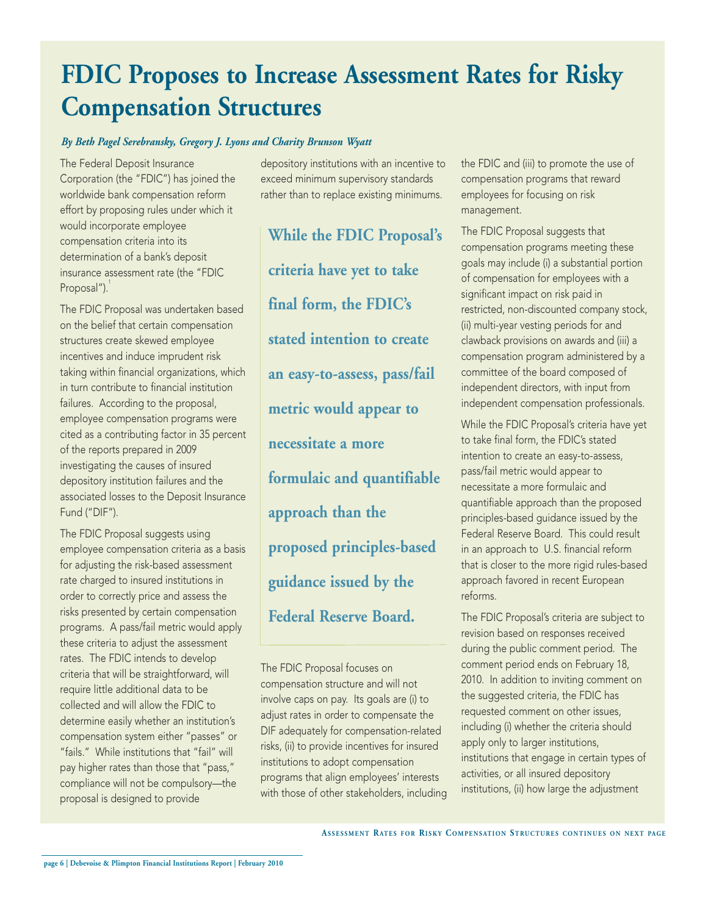# **FDIC Proposes to Increase Assessment Rates for Risky Compensation Structures**

### *By Beth Pagel Serebransky, Gregory J. Lyons and Charity Brunson Wyatt*

The Federal Deposit Insurance Corporation (the "FDIC") has joined the worldwide bank compensation reform effort by proposing rules under which it would incorporate employee compensation criteria into its determination of a bank's deposit insurance assessment rate (the "FDIC Proposal").

The FDIC Proposal was undertaken based on the belief that certain compensation structures create skewed employee incentives and induce imprudent risk taking within financial organizations, which in turn contribute to financial institution failures. According to the proposal, employee compensation programs were cited as a contributing factor in 35 percent of the reports prepared in 2009 investigating the causes of insured depository institution failures and the associated losses to the Deposit Insurance Fund ("DIF").

The FDIC Proposal suggests using employee compensation criteria as a basis for adjusting the risk-based assessment rate charged to insured institutions in order to correctly price and assess the risks presented by certain compensation programs. A pass/fail metric would apply these criteria to adjust the assessment rates. The FDIC intends to develop criteria that will be straightforward, will require little additional data to be collected and will allow the FDIC to determine easily whether an institution's compensation system either "passes" or "fails." While institutions that "fail" will pay higher rates than those that "pass," compliance will not be compulsory—the proposal is designed to provide

depository institutions with an incentive to exceed minimum supervisory standards rather than to replace existing minimums.

**While the FDIC Proposal's criteria have yet to take final form, the FDIC's stated intention to create an easy-to-assess, pass/fail metric would appear to necessitate a more formulaic and quantifiable approach than the proposed principles-based guidance issued by the Federal Reserve Board.** 

The FDIC Proposal focuses on compensation structure and will not involve caps on pay. Its goals are (i) to adjust rates in order to compensate the DIF adequately for compensation-related risks, (ii) to provide incentives for insured institutions to adopt compensation programs that align employees' interests with those of other stakeholders, including the FDIC and (iii) to promote the use of compensation programs that reward employees for focusing on risk management.

The FDIC Proposal suggests that compensation programs meeting these goals may include (i) a substantial portion of compensation for employees with a significant impact on risk paid in restricted, non-discounted company stock, (ii) multi-year vesting periods for and clawback provisions on awards and (iii) a compensation program administered by a committee of the board composed of independent directors, with input from independent compensation professionals.

While the FDIC Proposal's criteria have yet to take final form, the FDIC's stated intention to create an easy-to-assess, pass/fail metric would appear to necessitate a more formulaic and quantifiable approach than the proposed principles-based guidance issued by the Federal Reserve Board. This could result in an approach to U.S. financial reform that is closer to the more rigid rules-based approach favored in recent European reforms.

The FDIC Proposal's criteria are subject to revision based on responses received during the public comment period. The comment period ends on February 18, 2010. In addition to inviting comment on the suggested criteria, the FDIC has requested comment on other issues, including (i) whether the criteria should apply only to larger institutions, institutions that engage in certain types of activities, or all insured depository institutions, (ii) how large the adjustment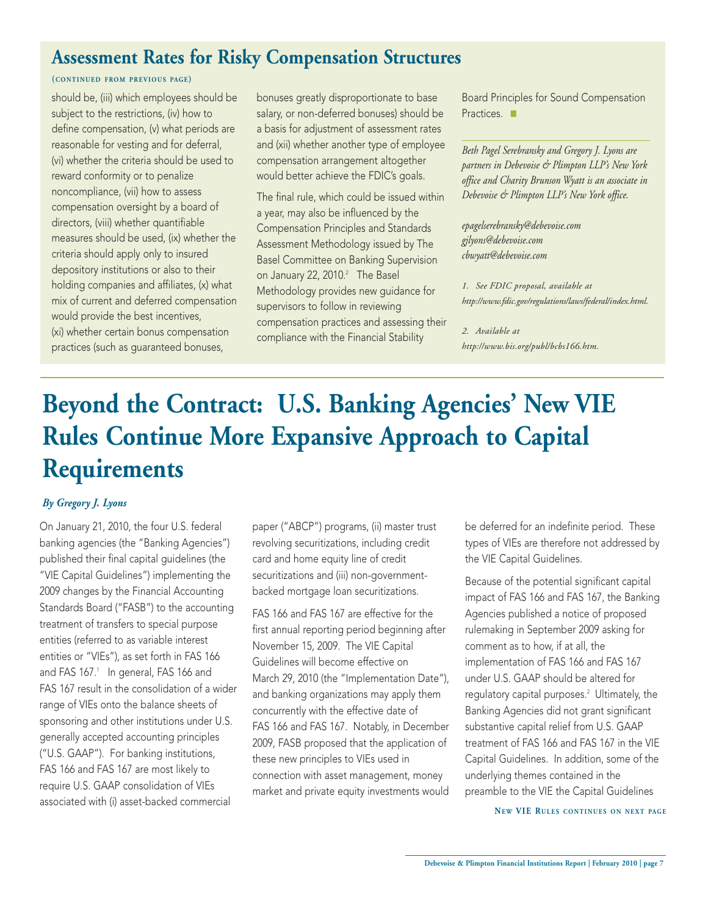# **Assessment Rates for Risky Compensation Structures**

### **(CONTINUED FROM PREVIOUS PAGE)**

should be, (iii) which employees should be subject to the restrictions, (iv) how to define compensation, (v) what periods are reasonable for vesting and for deferral, (vi) whether the criteria should be used to reward conformity or to penalize noncompliance, (vii) how to assess compensation oversight by a board of directors, (viii) whether quantifiable measures should be used, (ix) whether the criteria should apply only to insured depository institutions or also to their holding companies and affiliates, (x) what mix of current and deferred compensation would provide the best incentives, (xi) whether certain bonus compensation practices (such as guaranteed bonuses,

bonuses greatly disproportionate to base salary, or non-deferred bonuses) should be a basis for adjustment of assessment rates and (xii) whether another type of employee compensation arrangement altogether would better achieve the FDIC's goals.

The final rule, which could be issued within a year, may also be influenced by the Compensation Principles and Standards Assessment Methodology issued by The Basel Committee on Banking Supervision on January 22, 2010.<sup>2</sup> The Basel Methodology provides new guidance for supervisors to follow in reviewing compensation practices and assessing their compliance with the Financial Stability

Board Principles for Sound Compensation Practices.

*Beth Pagel Serebransky and Gregory J. Lyons are partners in Debevoise & Plimpton LLP's New York office and Charity Brunson Wyatt is an associate in Debevoise & Plimpton LLP's New York office.*

*epagelserebransky@debevoise.com gjlyons@debevoise.com cbwyatt@debevoise.com*

*1. See FDIC proposal, available at [http://www.fdic.gov/regulations/laws/federal/index.html.](http://www.fdic.gov/regulations/laws/federal/index.html)*

### *2. Available at*

*[http://www.bis.org/publ/bcbs166.htm.](http://www.bis.org/publ/bcbs166.htm)*

# **Beyond the Contract: U.S. Banking Agencies' New VIE Rules Continue More Expansive Approach to Capital Requirements**

### *By Gregory J. Lyons*

On January 21, 2010, the four U.S. federal banking agencies (the "Banking Agencies") published their final capital guidelines (the "VIE Capital Guidelines") implementing the 2009 changes by the Financial Accounting Standards Board ("FASB") to the accounting treatment of transfers to special purpose entities (referred to as variable interest entities or "VIEs"), as set forth in FAS 166 and FAS 167.<sup>1</sup> In general, FAS 166 and FAS 167 result in the consolidation of a wider range of VIEs onto the balance sheets of sponsoring and other institutions under U.S. generally accepted accounting principles ("U.S. GAAP"). For banking institutions, FAS 166 and FAS 167 are most likely to require U.S. GAAP consolidation of VIEs associated with (i) asset-backed commercial

paper ("ABCP") programs, (ii) master trust revolving securitizations, including credit card and home equity line of credit securitizations and (iii) non-governmentbacked mortgage loan securitizations.

FAS 166 and FAS 167 are effective for the first annual reporting period beginning after November 15, 2009. The VIE Capital Guidelines will become effective on March 29, 2010 (the "Implementation Date"), and banking organizations may apply them concurrently with the effective date of FAS 166 and FAS 167. Notably, in December 2009, FASB proposed that the application of these new principles to VIEs used in connection with asset management, money market and private equity investments would be deferred for an indefinite period. These types of VIEs are therefore not addressed by the VIE Capital Guidelines.

Because of the potential significant capital impact of FAS 166 and FAS 167, the Banking Agencies published a notice of proposed rulemaking in September 2009 asking for comment as to how, if at all, the implementation of FAS 166 and FAS 167 under U.S. GAAP should be altered for regulatory capital purposes.<sup>2</sup> Ultimately, the Banking Agencies did not grant significant substantive capital relief from U.S. GAAP treatment of FAS 166 and FAS 167 in the VIE Capital Guidelines. In addition, some of the underlying themes contained in the preamble to the VIE the Capital Guidelines

**NEW VIE RULES CONTINUES ON NEXT PAGE**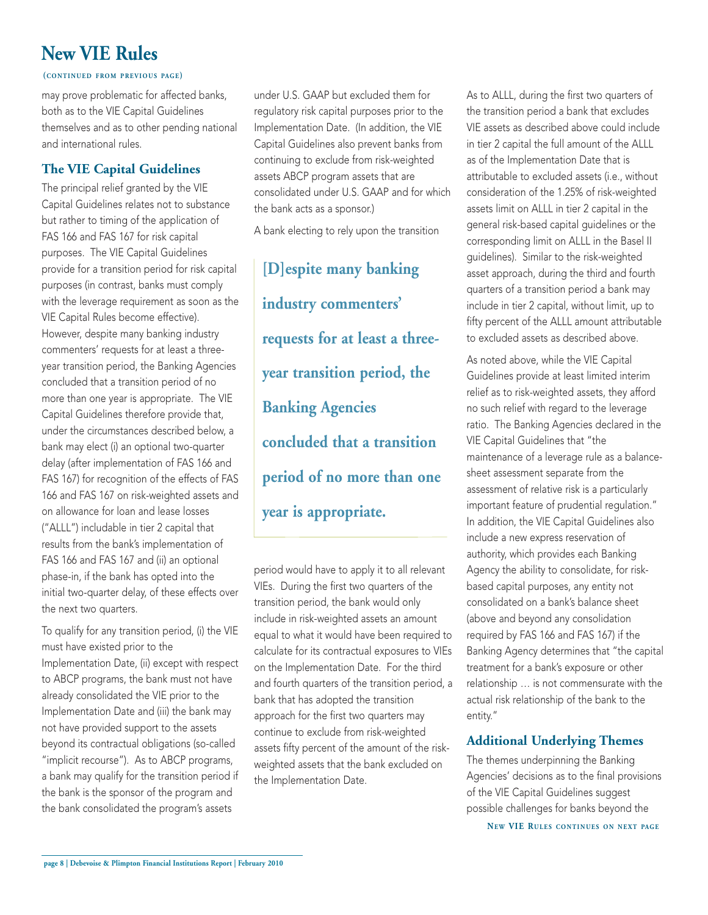# **New VIE Rules**

#### **(CONTINUED FROM PREVIOUS PAGE)**

may prove problematic for affected banks, both as to the VIE Capital Guidelines themselves and as to other pending national and international rules.

## **The VIE Capital Guidelines**

The principal relief granted by the VIE Capital Guidelines relates not to substance but rather to timing of the application of FAS 166 and FAS 167 for risk capital purposes. The VIE Capital Guidelines provide for a transition period for risk capital purposes (in contrast, banks must comply with the leverage requirement as soon as the VIE Capital Rules become effective). However, despite many banking industry commenters' requests for at least a threeyear transition period, the Banking Agencies concluded that a transition period of no more than one year is appropriate. The VIE Capital Guidelines therefore provide that, under the circumstances described below, a bank may elect (i) an optional two-quarter delay (after implementation of FAS 166 and FAS 167) for recognition of the effects of FAS 166 and FAS 167 on risk-weighted assets and on allowance for loan and lease losses ("ALLL") includable in tier 2 capital that results from the bank's implementation of FAS 166 and FAS 167 and (ii) an optional phase-in, if the bank has opted into the initial two-quarter delay, of these effects over the next two quarters.

To qualify for any transition period, (i) the VIE must have existed prior to the Implementation Date, (ii) except with respect to ABCP programs, the bank must not have already consolidated the VIE prior to the Implementation Date and (iii) the bank may not have provided support to the assets beyond its contractual obligations (so-called "implicit recourse"). As to ABCP programs, a bank may qualify for the transition period if the bank is the sponsor of the program and the bank consolidated the program's assets

under U.S. GAAP but excluded them for regulatory risk capital purposes prior to the Implementation Date. (In addition, the VIE Capital Guidelines also prevent banks from continuing to exclude from risk-weighted assets ABCP program assets that are consolidated under U.S. GAAP and for which the bank acts as a sponsor.)

A bank electing to rely upon the transition

**[D]espite many banking industry commenters' requests for at least a threeyear transition period, the Banking Agencies concluded that a transition period of no more than one year is appropriate.**

period would have to apply it to all relevant VIEs. During the first two quarters of the transition period, the bank would only include in risk-weighted assets an amount equal to what it would have been required to calculate for its contractual exposures to VIEs on the Implementation Date. For the third and fourth quarters of the transition period, a bank that has adopted the transition approach for the first two quarters may continue to exclude from risk-weighted assets fifty percent of the amount of the riskweighted assets that the bank excluded on the Implementation Date.

As to ALLL, during the first two quarters of the transition period a bank that excludes VIE assets as described above could include in tier 2 capital the full amount of the ALLL as of the Implementation Date that is attributable to excluded assets (i.e., without consideration of the 1.25% of risk-weighted assets limit on ALLL in tier 2 capital in the general risk-based capital guidelines or the corresponding limit on ALLL in the Basel II guidelines). Similar to the risk-weighted asset approach, during the third and fourth quarters of a transition period a bank may include in tier 2 capital, without limit, up to fifty percent of the ALLL amount attributable to excluded assets as described above.

As noted above, while the VIE Capital Guidelines provide at least limited interim relief as to risk-weighted assets, they afford no such relief with regard to the leverage ratio. The Banking Agencies declared in the VIE Capital Guidelines that "the maintenance of a leverage rule as a balancesheet assessment separate from the assessment of relative risk is a particularly important feature of prudential regulation." In addition, the VIE Capital Guidelines also include a new express reservation of authority, which provides each Banking Agency the ability to consolidate, for riskbased capital purposes, any entity not consolidated on a bank's balance sheet (above and beyond any consolidation required by FAS 166 and FAS 167) if the Banking Agency determines that "the capital treatment for a bank's exposure or other relationship … is not commensurate with the actual risk relationship of the bank to the entity."

# **Additional Underlying Themes**

The themes underpinning the Banking Agencies' decisions as to the final provisions of the VIE Capital Guidelines suggest possible challenges for banks beyond the

**NE W VIE RULES CONTINUES ON NEXT PAGE**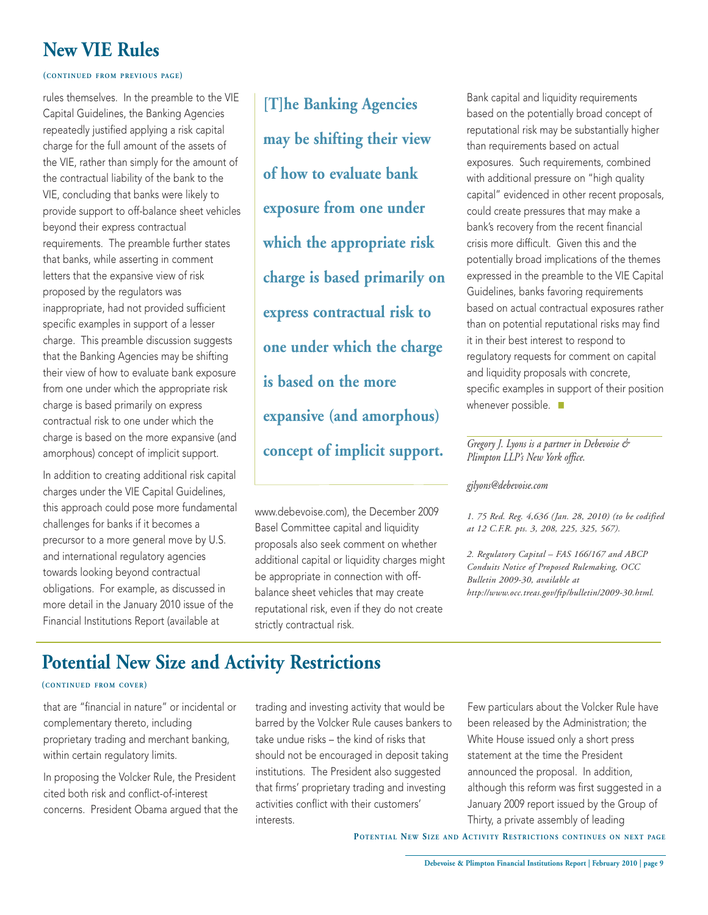# **New VIE Rules**

#### **(CONTINUED FROM PREVIOUS PAGE)**

rules themselves. In the preamble to the VIE Capital Guidelines, the Banking Agencies repeatedly justified applying a risk capital charge for the full amount of the assets of the VIE, rather than simply for the amount of the contractual liability of the bank to the VIE, concluding that banks were likely to provide support to off-balance sheet vehicles beyond their express contractual requirements. The preamble further states that banks, while asserting in comment letters that the expansive view of risk proposed by the regulators was inappropriate, had not provided sufficient specific examples in support of a lesser charge. This preamble discussion suggests that the Banking Agencies may be shifting their view of how to evaluate bank exposure from one under which the appropriate risk charge is based primarily on express contractual risk to one under which the charge is based on the more expansive (and amorphous) concept of implicit support.

In addition to creating additional risk capital charges under the VIE Capital Guidelines, this approach could pose more fundamental challenges for banks if it becomes a precursor to a more general move by U.S. and international regulatory agencies towards looking beyond contractual obligations. For example, as discussed in more detail in the January 2010 issue of the Financial Institutions Report (available at

**[T]he Banking Agencies may be shifting their view of how to evaluate bank exposure from one under which the appropriate risk charge is based primarily on express contractual risk to one under which the charge is based on the more expansive (and amorphous) concept of implicit support.**

[www.debevoise.com\),](http://www.debevoise.com/files/Publication/3a91f263-06cc-452f-b269-274ee6801496/Presentation/PublicationAttachment/9ceb49e2-35f9-470f-804f-3bcea7bc3e14/FIReportJanuary2010.pdf) the December 2009 Basel Committee capital and liquidity proposals also seek comment on whether additional capital or liquidity charges might be appropriate in connection with offbalance sheet vehicles that may create reputational risk, even if they do not create strictly contractual risk.

Bank capital and liquidity requirements based on the potentially broad concept of reputational risk may be substantially higher than requirements based on actual exposures. Such requirements, combined with additional pressure on "high quality capital" evidenced in other recent proposals, could create pressures that may make a bank's recovery from the recent financial crisis more difficult. Given this and the potentially broad implications of the themes expressed in the preamble to the VIE Capital Guidelines, banks favoring requirements based on actual contractual exposures rather than on potential reputational risks may find it in their best interest to respond to regulatory requests for comment on capital and liquidity proposals with concrete, specific examples in support of their position whenever possible.  $\blacksquare$ 

### *Gregory J. Lyons is a partner in Debevoise & Plimpton LLP's New York office.*

#### *gjlyons@debevoise.com*

*1. 75 Red. Reg. 4,636 (Jan. 28, 2010) (to be codified at 12 C.F.R. pts. 3, 208, 225, 325, 567).*

*2. Regulatory Capital – FAS 166/167 and ABCP Conduits Notice of Proposed Rulemaking, OCC Bulletin 2009-30, available at [http://www.occ.treas.gov/ftp/bulletin/2009-30.html.](http://www.occ.treas.gov/ftp/bulletin/2009-30.html)*

# **Potential New Size and Activity Restrictions**

### **(CONTINUED FROM COVER)**

that are "financial in nature" or incidental or complementary thereto, including proprietary trading and merchant banking, within certain regulatory limits.

In proposing the Volcker Rule, the President cited both risk and conflict-of-interest concerns. President Obama argued that the trading and investing activity that would be barred by the Volcker Rule causes bankers to take undue risks – the kind of risks that should not be encouraged in deposit taking institutions. The President also suggested that firms' proprietary trading and investing activities conflict with their customers' interests.

Few particulars about the Volcker Rule have been released by the Administration; the White House issued only a short press statement at the time the President announced the proposal. In addition, although this reform was first suggested in a January 2009 report issued by the Group of Thirty, a private assembly of leading

**POTENTIAL NEW SIZE AND ACTIVITY RESTRICTIONS CONTINUES ON NEXT PAGE**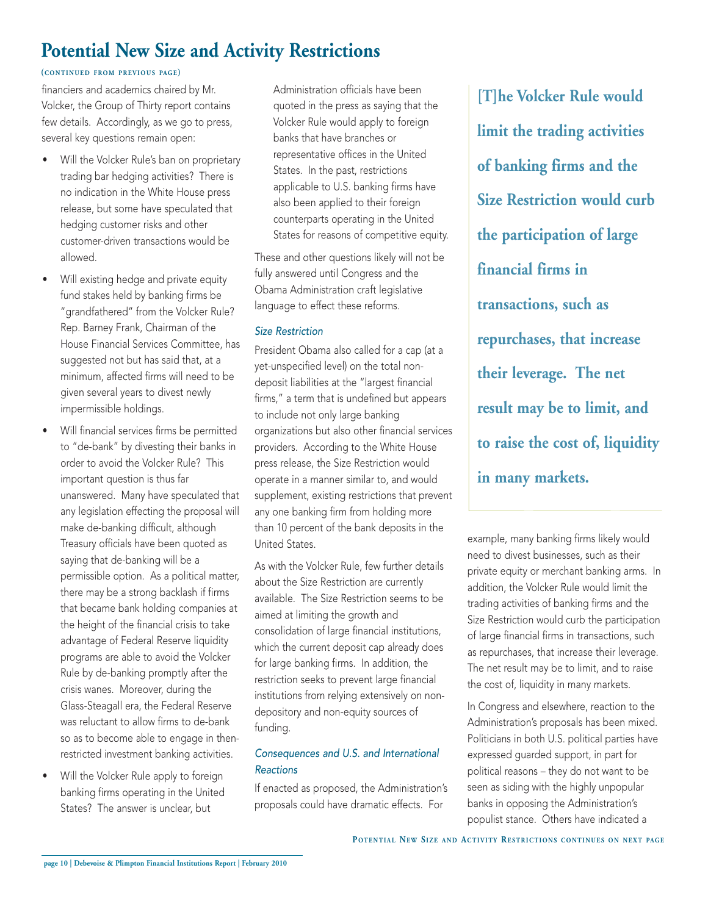# **Potential New Size and Activity Restrictions**

### **(CONTINUED FROM PREVIOUS PAGE)**

financiers and academics chaired by Mr. Volcker, the Group of Thirty report contains few details. Accordingly, as we go to press, several key questions remain open:

- Will the Volcker Rule's ban on proprietary trading bar hedging activities? There is no indication in the White House press release, but some have speculated that hedging customer risks and other customer-driven transactions would be allowed.
- Will existing hedge and private equity fund stakes held by banking firms be "grandfathered" from the Volcker Rule? Rep. Barney Frank, Chairman of the House Financial Services Committee, has suggested not but has said that, at a minimum, affected firms will need to be given several years to divest newly impermissible holdings.
- Will financial services firms be permitted to "de-bank" by divesting their banks in order to avoid the Volcker Rule? This important question is thus far unanswered. Many have speculated that any legislation effecting the proposal will make de-banking difficult, although Treasury officials have been quoted as saying that de-banking will be a permissible option. As a political matter, there may be a strong backlash if firms that became bank holding companies at the height of the financial crisis to take advantage of Federal Reserve liquidity programs are able to avoid the Volcker Rule by de-banking promptly after the crisis wanes. Moreover, during the Glass-Steagall era, the Federal Reserve was reluctant to allow firms to de-bank so as to become able to engage in thenrestricted investment banking activities.
- Will the Volcker Rule apply to foreign banking firms operating in the United States? The answer is unclear, but

Administration officials have been quoted in the press as saying that the Volcker Rule would apply to foreign banks that have branches or representative offices in the United States. In the past, restrictions applicable to U.S. banking firms have also been applied to their foreign counterparts operating in the United States for reasons of competitive equity.

These and other questions likely will not be fully answered until Congress and the Obama Administration craft legislative language to effect these reforms.

### Size Restriction

President Obama also called for a cap (at a yet-unspecified level) on the total nondeposit liabilities at the "largest financial firms," a term that is undefined but appears to include not only large banking organizations but also other financial services providers. According to the White House press release, the Size Restriction would operate in a manner similar to, and would supplement, existing restrictions that prevent any one banking firm from holding more than 10 percent of the bank deposits in the United States.

As with the Volcker Rule, few further details about the Size Restriction are currently available. The Size Restriction seems to be aimed at limiting the growth and consolidation of large financial institutions, which the current deposit cap already does for large banking firms. In addition, the restriction seeks to prevent large financial institutions from relying extensively on nondepository and non-equity sources of funding.

## Consequences and U.S. and International **Reactions**

If enacted as proposed, the Administration's proposals could have dramatic effects. For

**[T]he Volcker Rule would limit the trading activities of banking firms and the Size Restriction would curb the participation of large financial firms in transactions, such as repurchases, that increase their leverage. The net result may be to limit, and to raise the cost of, liquidity in many markets.**

example, many banking firms likely would need to divest businesses, such as their private equity or merchant banking arms. In addition, the Volcker Rule would limit the trading activities of banking firms and the Size Restriction would curb the participation of large financial firms in transactions, such as repurchases, that increase their leverage. The net result may be to limit, and to raise the cost of, liquidity in many markets.

In Congress and elsewhere, reaction to the Administration's proposals has been mixed. Politicians in both U.S. political parties have expressed guarded support, in part for political reasons – they do not want to be seen as siding with the highly unpopular banks in opposing the Administration's populist stance. Others have indicated a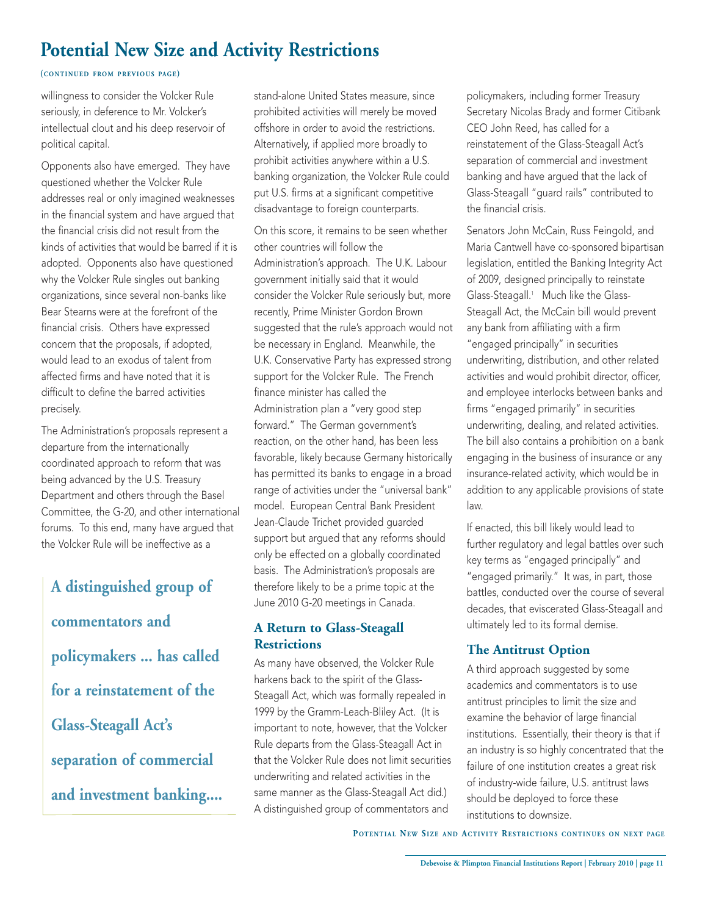# **Potential New Size and Activity Restrictions**

### **(CONTINUED FROM PREVIOUS PAGE)**

willingness to consider the Volcker Rule seriously, in deference to Mr. Volcker's intellectual clout and his deep reservoir of political capital.

Opponents also have emerged. They have questioned whether the Volcker Rule addresses real or only imagined weaknesses in the financial system and have argued that the financial crisis did not result from the kinds of activities that would be barred if it is adopted. Opponents also have questioned why the Volcker Rule singles out banking organizations, since several non-banks like Bear Stearns were at the forefront of the financial crisis. Others have expressed concern that the proposals, if adopted, would lead to an exodus of talent from affected firms and have noted that it is difficult to define the barred activities precisely.

The Administration's proposals represent a departure from the internationally coordinated approach to reform that was being advanced by the U.S. Treasury Department and others through the Basel Committee, the G-20, and other international forums. To this end, many have argued that the Volcker Rule will be ineffective as a

**A distinguished group of commentators and policymakers ... has called for a reinstatement of the Glass-Steagall Act's separation of commercial and investment banking....** stand-alone United States measure, since prohibited activities will merely be moved offshore in order to avoid the restrictions. Alternatively, if applied more broadly to prohibit activities anywhere within a U.S. banking organization, the Volcker Rule could put U.S. firms at a significant competitive disadvantage to foreign counterparts.

On this score, it remains to be seen whether other countries will follow the Administration's approach. The U.K. Labour government initially said that it would consider the Volcker Rule seriously but, more recently, Prime Minister Gordon Brown suggested that the rule's approach would not be necessary in England. Meanwhile, the U.K. Conservative Party has expressed strong support for the Volcker Rule. The French finance minister has called the Administration plan a "very good step forward." The German government's reaction, on the other hand, has been less favorable, likely because Germany historically has permitted its banks to engage in a broad range of activities under the "universal bank" model. European Central Bank President Jean-Claude Trichet provided guarded support but argued that any reforms should only be effected on a globally coordinated basis. The Administration's proposals are therefore likely to be a prime topic at the June 2010 G-20 meetings in Canada.

# **A Return to Glass-Steagall Restrictions**

As many have observed, the Volcker Rule harkens back to the spirit of the Glass-Steagall Act, which was formally repealed in 1999 by the Gramm-Leach-Bliley Act. (It is important to note, however, that the Volcker Rule departs from the Glass-Steagall Act in that the Volcker Rule does not limit securities underwriting and related activities in the same manner as the Glass-Steagall Act did.) A distinguished group of commentators and

policymakers, including former Treasury Secretary Nicolas Brady and former Citibank CEO John Reed, has called for a reinstatement of the Glass-Steagall Act's separation of commercial and investment banking and have argued that the lack of Glass-Steagall "guard rails" contributed to the financial crisis.

Senators John McCain, Russ Feingold, and Maria Cantwell have co-sponsored bipartisan legislation, entitled the Banking Integrity Act of 2009, designed principally to reinstate Glass-Steagall.1 Much like the Glass-Steagall Act, the McCain bill would prevent any bank from affiliating with a firm "engaged principally" in securities underwriting, distribution, and other related activities and would prohibit director, officer, and employee interlocks between banks and firms "engaged primarily" in securities underwriting, dealing, and related activities. The bill also contains a prohibition on a bank engaging in the business of insurance or any insurance-related activity, which would be in addition to any applicable provisions of state law.

If enacted, this bill likely would lead to further regulatory and legal battles over such key terms as "engaged principally" and "engaged primarily." It was, in part, those battles, conducted over the course of several decades, that eviscerated Glass-Steagall and ultimately led to its formal demise.

# **The Antitrust Option**

A third approach suggested by some academics and commentators is to use antitrust principles to limit the size and examine the behavior of large financial institutions. Essentially, their theory is that if an industry is so highly concentrated that the failure of one institution creates a great risk of industry-wide failure, U.S. antitrust laws should be deployed to force these institutions to downsize.

**POTENTIAL NEW SIZE AND ACTIVITY RESTRICTIONS CONTINUES ON NEXT PAGE**